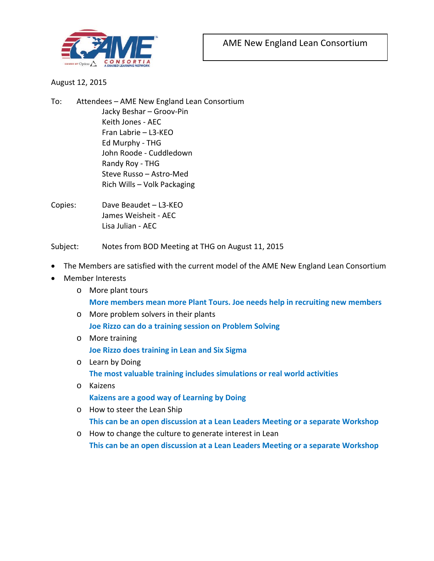

## August 12, 2015

- To: Attendees AME New England Lean Consortium Jacky Beshar – Groov-Pin Keith Jones - AEC Fran Labrie – L3-KEO Ed Murphy - THG John Roode - Cuddledown Randy Roy - THG Steve Russo – Astro-Med Rich Wills – Volk Packaging
- Copies: Dave Beaudet L3-KEO James Weisheit - AEC Lisa Julian - AEC

Subject: Notes from BOD Meeting at THG on August 11, 2015

- The Members are satisfied with the current model of the AME New England Lean Consortium
- Member Interests
	- o More plant tours **More members mean more Plant Tours. Joe needs help in recruiting new members**
	- o More problem solvers in their plants **Joe Rizzo can do a training session on Problem Solving**
	- o More training

**Joe Rizzo does training in Lean and Six Sigma**

o Learn by Doing

**The most valuable training includes simulations or real world activities**

o Kaizens

**Kaizens are a good way of Learning by Doing**

o How to steer the Lean Ship

**This can be an open discussion at a Lean Leaders Meeting or a separate Workshop**

o How to change the culture to generate interest in Lean

**This can be an open discussion at a Lean Leaders Meeting or a separate Workshop**